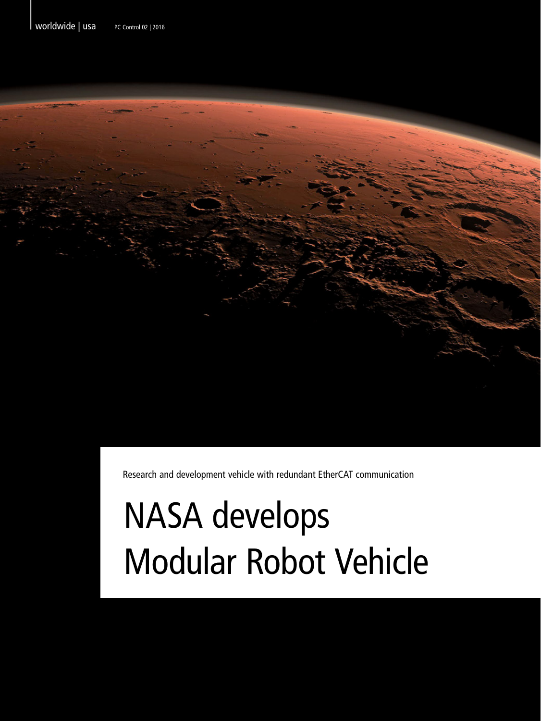Worldwide | usa PC Control 02 | 2016



Research and development vehicle with redundant EtherCAT communication

## NASA develops Modular Robot Vehicle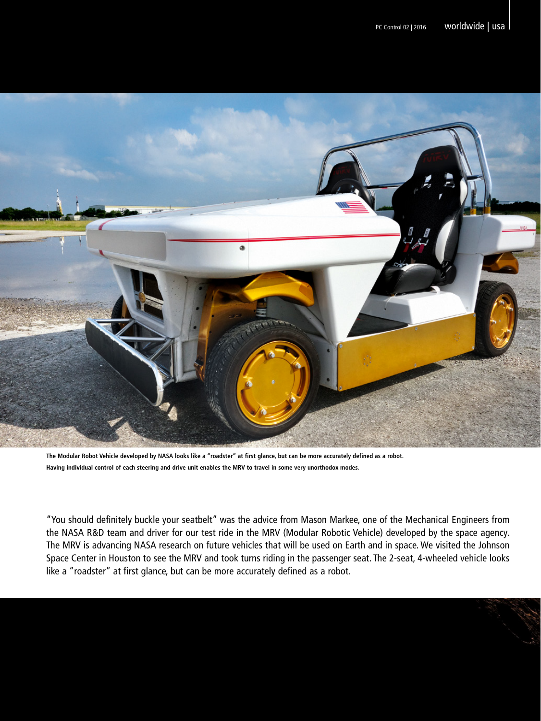

**The Modular Robot Vehicle developed by NASA looks like a "roadster" at first glance, but can be more accurately defined as a robot. Having individual control of each steering and drive unit enables the MRV to travel in some very unorthodox modes.** 

"You should definitely buckle your seatbelt" was the advice from Mason Markee, one of the Mechanical Engineers from the NASA R&D team and driver for our test ride in the MRV (Modular Robotic Vehicle) developed by the space agency. The MRV is advancing NASA research on future vehicles that will be used on Earth and in space. We visited the Johnson Space Center in Houston to see the MRV and took turns riding in the passenger seat. The 2-seat, 4-wheeled vehicle looks like a "roadster" at first glance, but can be more accurately defined as a robot.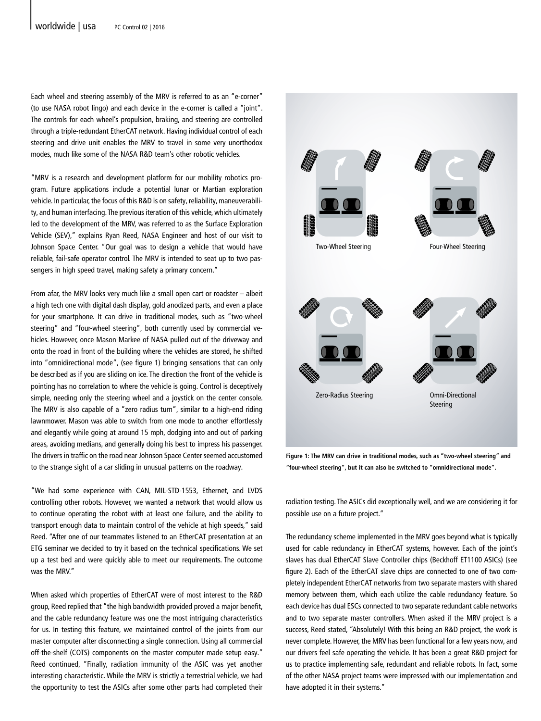Each wheel and steering assembly of the MRV is referred to as an "e-corner" (to use NASA robot lingo) and each device in the e-corner is called a "joint". The controls for each wheel's propulsion, braking, and steering are controlled through a triple-redundant EtherCAT network. Having individual control of each steering and drive unit enables the MRV to travel in some very unorthodox modes, much like some of the NASA R&D team's other robotic vehicles.

"MRV is a research and development platform for our mobility robotics program. Future applications include a potential lunar or Martian exploration vehicle. In particular, the focus of this R&D is on safety, reliability, maneuverability, and human interfacing. The previous iteration of this vehicle, which ultimately led to the development of the MRV, was referred to as the Surface Exploration Vehicle (SEV)," explains Ryan Reed, NASA Engineer and host of our visit to Johnson Space Center. "Our goal was to design a vehicle that would have reliable, fail-safe operator control. The MRV is intended to seat up to two passengers in high speed travel, making safety a primary concern."

From afar, the MRV looks very much like a small open cart or roadster – albeit a high tech one with digital dash display, gold anodized parts, and even a place for your smartphone. It can drive in traditional modes, such as "two-wheel steering" and "four-wheel steering", both currently used by commercial vehicles. However, once Mason Markee of NASA pulled out of the driveway and onto the road in front of the building where the vehicles are stored, he shifted into "omnidirectional mode", (see figure 1) bringing sensations that can only be described as if you are sliding on ice. The direction the front of the vehicle is pointing has no correlation to where the vehicle is going. Control is deceptively simple, needing only the steering wheel and a joystick on the center console. The MRV is also capable of a "zero radius turn", similar to a high-end riding lawnmower. Mason was able to switch from one mode to another effortlessly and elegantly while going at around 15 mph, dodging into and out of parking areas, avoiding medians, and generally doing his best to impress his passenger. The drivers in traffic on the road near Johnson Space Center seemed accustomed to the strange sight of a car sliding in unusual patterns on the roadway.

"We had some experience with CAN, MIL-STD-1553, Ethernet, and LVDS controlling other robots. However, we wanted a network that would allow us to continue operating the robot with at least one failure, and the ability to transport enough data to maintain control of the vehicle at high speeds," said Reed. "After one of our teammates listened to an EtherCAT presentation at an ETG seminar we decided to try it based on the technical specifications. We set up a test bed and were quickly able to meet our requirements. The outcome was the MRV."

When asked which properties of EtherCAT were of most interest to the R&D group, Reed replied that "the high bandwidth provided proved a major benefit, and the cable redundancy feature was one the most intriguing characteristics for us. In testing this feature, we maintained control of the joints from our master computer after disconnecting a single connection. Using all commercial off-the-shelf (COTS) components on the master computer made setup easy." Reed continued, "Finally, radiation immunity of the ASIC was yet another interesting characteristic. While the MRV is strictly a terrestrial vehicle, we had the opportunity to test the ASICs after some other parts had completed their



**Figure 1: The MRV can drive in traditional modes, such as "two-wheel steering" and "four-wheel steering", but it can also be switched to "omnidirectional mode".** 

radiation testing. The ASICs did exceptionally well, and we are considering it for possible use on a future project."

The redundancy scheme implemented in the MRV goes beyond what is typically used for cable redundancy in EtherCAT systems, however. Each of the joint's slaves has dual EtherCAT Slave Controller chips (Beckhoff ET1100 ASICs) (see figure 2). Each of the EtherCAT slave chips are connected to one of two completely independent EtherCAT networks from two separate masters with shared memory between them, which each utilize the cable redundancy feature. So each device has dual ESCs connected to two separate redundant cable networks and to two separate master controllers. When asked if the MRV project is a success, Reed stated, "Absolutely! With this being an R&D project, the work is never complete. However, the MRV has been functional for a few years now, and our drivers feel safe operating the vehicle. It has been a great R&D project for us to practice implementing safe, redundant and reliable robots. In fact, some of the other NASA project teams were impressed with our implementation and have adopted it in their systems."